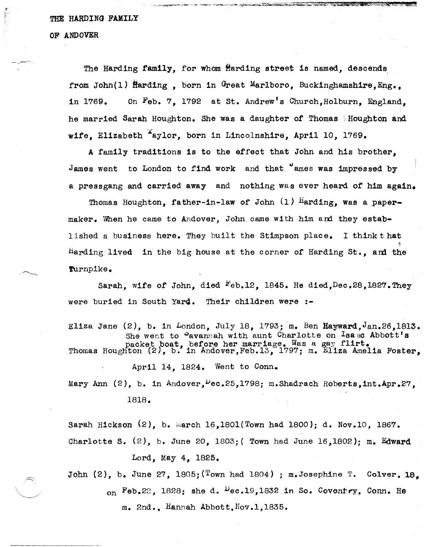## THE HARDING FAMILY

## OF ANDOVER

 $\backslash$ 

 $\overline{\phantom{a}}$ 

The Harding family, for whom flarding street is named, descends from John(1)  $\texttt{Harding}$ , born in Great Marlboro, Buckinghamshire, Eng. in 1769. On Feb. 7, 1792 at St. Andrew's Church,Holburn, England, he married Sarah Houghton. She was a daughter of Thomas Houghton and wife, Elizabeth ~aylor, born in Lincolnshire, April 10, 1769.

A family traditions is to the erfect that John and his brother, James went to London to find work and that ames was impressed by a pressgang and carried away and nothing was ever heard of him again.

Thomas Houghton, father-in-law of John  $(1)$  Harding, was a papermaker. When he came to Andover, John came with him and they estab-1 ished a business here. They built the Stimpson place. I think that Harding lived in the big house at the corner of Harding St., and the 'furnpike.

Sarah, wife of John, died  $F_{\text{eb}}.12$ , 1845. He died, Dec.28,1827. They were buried in South Yard. Their children were :-

Eliza Jane (2), b. in London, July 18, 1793; m. Ben Hayward, Jan. 26, 1813. She went to  $\sim$ avannah with aunt Charlotte on Isa ac Abbott's packet boat, before her marriage. Was a gay flirt. Thomas Hougnton (2), b. in Andover,Feb.13, 1797; m. Eiiza Amelia Foster, April 14, 1824. Went to Conn.

Mary Ann  $(2)$ , b. in Andover,  $Pec.25,1798;$  m. Shadrach Roberts, int.Apr.27, 1818.

Sarah Hickson  $(2)$ , b. March 16,1801(Town had 1800); d. Nov.10, 1867. Charlotte S.  $(2)$ , b. June 20, 1803; (Town had June 16,1802); m. Edward Lord, May 4, 1825.

John  $(2)$ , b. June 27, 1805; (Town had 1804) ; m.Josephine T. Colver, 18. on Feb.22, 1828; she d.  $\mu$ ec.19,1832 in So. Coventry, Conn. He m. 2nd., Hannah Abbott, Nov.1, 1835.